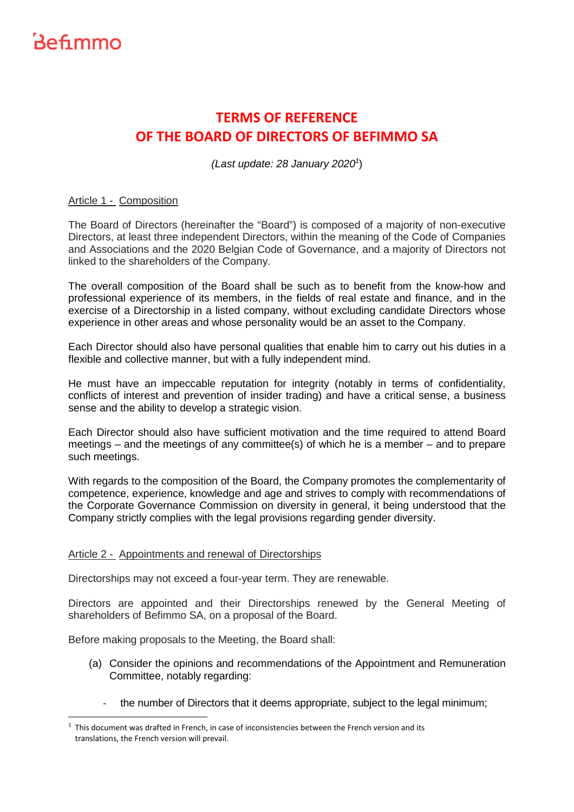

 $\overline{a}$ 

### **TERMS OF REFERENCE OF THE BOARD OF DIRECTORS OF BEFIMMO SA**

(Last update: 28 January 2020<sup>1</sup>)

#### Article 1 - Composition

The Board of Directors (hereinafter the "Board") is composed of a majority of non-executive Directors, at least three independent Directors, within the meaning of the Code of Companies and Associations and the 2020 Belgian Code of Governance, and a majority of Directors not linked to the shareholders of the Company.

The overall composition of the Board shall be such as to benefit from the know-how and professional experience of its members, in the fields of real estate and finance, and in the exercise of a Directorship in a listed company, without excluding candidate Directors whose experience in other areas and whose personality would be an asset to the Company.

Each Director should also have personal qualities that enable him to carry out his duties in a flexible and collective manner, but with a fully independent mind.

He must have an impeccable reputation for integrity (notably in terms of confidentiality, conflicts of interest and prevention of insider trading) and have a critical sense, a business sense and the ability to develop a strategic vision.

Each Director should also have sufficient motivation and the time required to attend Board meetings – and the meetings of any committee(s) of which he is a member – and to prepare such meetings.

With regards to the composition of the Board, the Company promotes the complementarity of competence, experience, knowledge and age and strives to comply with recommendations of the Corporate Governance Commission on diversity in general, it being understood that the Company strictly complies with the legal provisions regarding gender diversity.

#### Article 2 - Appointments and renewal of Directorships

Directorships may not exceed a four-year term. They are renewable.

Directors are appointed and their Directorships renewed by the General Meeting of shareholders of Befimmo SA, on a proposal of the Board.

Before making proposals to the Meeting, the Board shall:

- (a) Consider the opinions and recommendations of the Appointment and Remuneration Committee, notably regarding:
	- the number of Directors that it deems appropriate, subject to the legal minimum;

 $<sup>1</sup>$  This document was drafted in French, in case of inconsistencies between the French version and its</sup> translations, the French version will prevail.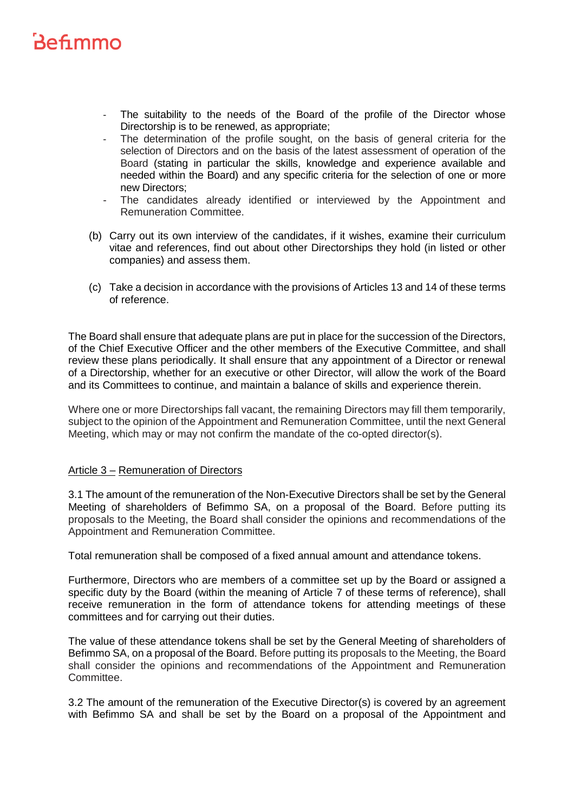- The suitability to the needs of the Board of the profile of the Director whose Directorship is to be renewed, as appropriate;
- The determination of the profile sought, on the basis of general criteria for the selection of Directors and on the basis of the latest assessment of operation of the Board (stating in particular the skills, knowledge and experience available and needed within the Board) and any specific criteria for the selection of one or more new Directors;
- The candidates already identified or interviewed by the Appointment and Remuneration Committee.
- (b) Carry out its own interview of the candidates, if it wishes, examine their curriculum vitae and references, find out about other Directorships they hold (in listed or other companies) and assess them.
- (c) Take a decision in accordance with the provisions of Articles 13 and 14 of these terms of reference.

The Board shall ensure that adequate plans are put in place for the succession of the Directors, of the Chief Executive Officer and the other members of the Executive Committee, and shall review these plans periodically. It shall ensure that any appointment of a Director or renewal of a Directorship, whether for an executive or other Director, will allow the work of the Board and its Committees to continue, and maintain a balance of skills and experience therein.

Where one or more Directorships fall vacant, the remaining Directors may fill them temporarily, subject to the opinion of the Appointment and Remuneration Committee, until the next General Meeting, which may or may not confirm the mandate of the co-opted director(s).

#### Article 3 – Remuneration of Directors

3.1 The amount of the remuneration of the Non-Executive Directors shall be set by the General Meeting of shareholders of Befimmo SA, on a proposal of the Board. Before putting its proposals to the Meeting, the Board shall consider the opinions and recommendations of the Appointment and Remuneration Committee.

Total remuneration shall be composed of a fixed annual amount and attendance tokens.

Furthermore, Directors who are members of a committee set up by the Board or assigned a specific duty by the Board (within the meaning of Article 7 of these terms of reference), shall receive remuneration in the form of attendance tokens for attending meetings of these committees and for carrying out their duties.

The value of these attendance tokens shall be set by the General Meeting of shareholders of Befimmo SA, on a proposal of the Board. Before putting its proposals to the Meeting, the Board shall consider the opinions and recommendations of the Appointment and Remuneration Committee.

3.2 The amount of the remuneration of the Executive Director(s) is covered by an agreement with Befimmo SA and shall be set by the Board on a proposal of the Appointment and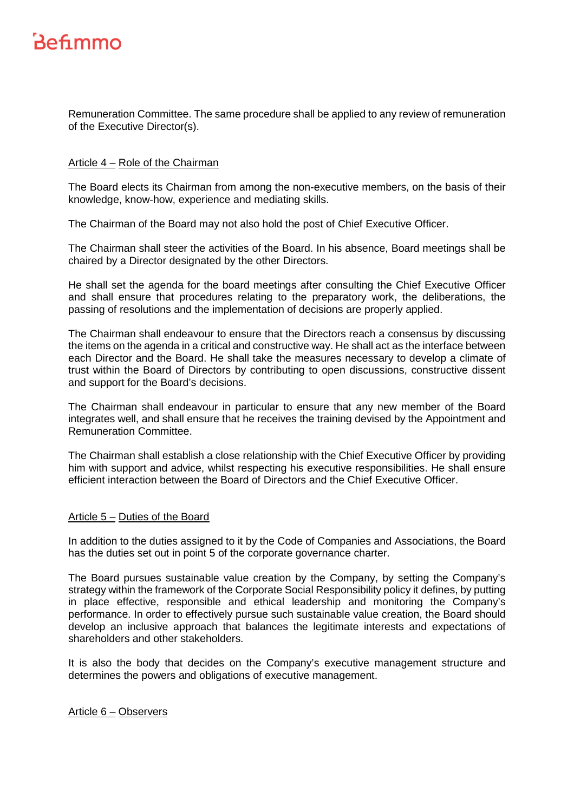Remuneration Committee. The same procedure shall be applied to any review of remuneration of the Executive Director(s).

#### Article 4 – Role of the Chairman

The Board elects its Chairman from among the non-executive members, on the basis of their knowledge, know-how, experience and mediating skills.

The Chairman of the Board may not also hold the post of Chief Executive Officer.

The Chairman shall steer the activities of the Board. In his absence, Board meetings shall be chaired by a Director designated by the other Directors.

He shall set the agenda for the board meetings after consulting the Chief Executive Officer and shall ensure that procedures relating to the preparatory work, the deliberations, the passing of resolutions and the implementation of decisions are properly applied.

The Chairman shall endeavour to ensure that the Directors reach a consensus by discussing the items on the agenda in a critical and constructive way. He shall act as the interface between each Director and the Board. He shall take the measures necessary to develop a climate of trust within the Board of Directors by contributing to open discussions, constructive dissent and support for the Board's decisions.

The Chairman shall endeavour in particular to ensure that any new member of the Board integrates well, and shall ensure that he receives the training devised by the Appointment and Remuneration Committee.

The Chairman shall establish a close relationship with the Chief Executive Officer by providing him with support and advice, whilst respecting his executive responsibilities. He shall ensure efficient interaction between the Board of Directors and the Chief Executive Officer.

#### Article 5 – Duties of the Board

In addition to the duties assigned to it by the Code of Companies and Associations, the Board has the duties set out in point 5 of the corporate governance charter.

The Board pursues sustainable value creation by the Company, by setting the Company's strategy within the framework of the Corporate Social Responsibility policy it defines, by putting in place effective, responsible and ethical leadership and monitoring the Company's performance. In order to effectively pursue such sustainable value creation, the Board should develop an inclusive approach that balances the legitimate interests and expectations of shareholders and other stakeholders.

It is also the body that decides on the Company's executive management structure and determines the powers and obligations of executive management.

Article 6 – Observers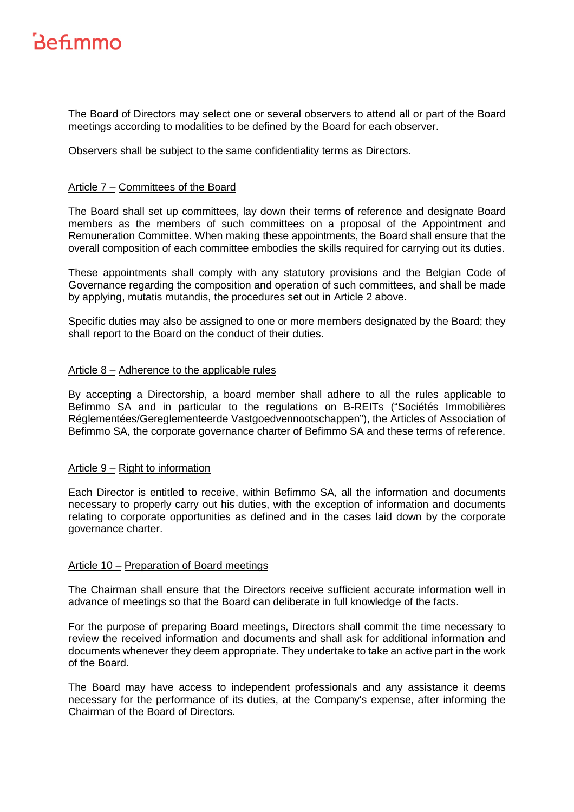The Board of Directors may select one or several observers to attend all or part of the Board meetings according to modalities to be defined by the Board for each observer.

Observers shall be subject to the same confidentiality terms as Directors.

#### Article 7 – Committees of the Board

The Board shall set up committees, lay down their terms of reference and designate Board members as the members of such committees on a proposal of the Appointment and Remuneration Committee. When making these appointments, the Board shall ensure that the overall composition of each committee embodies the skills required for carrying out its duties.

These appointments shall comply with any statutory provisions and the Belgian Code of Governance regarding the composition and operation of such committees, and shall be made by applying, mutatis mutandis, the procedures set out in Article 2 above.

Specific duties may also be assigned to one or more members designated by the Board; they shall report to the Board on the conduct of their duties.

#### Article 8 – Adherence to the applicable rules

By accepting a Directorship, a board member shall adhere to all the rules applicable to Befimmo SA and in particular to the regulations on B-REITs ("Sociétés Immobilières Réglementées/Gereglementeerde Vastgoedvennootschappen"), the Articles of Association of Befimmo SA, the corporate governance charter of Befimmo SA and these terms of reference.

#### Article 9 – Right to information

Each Director is entitled to receive, within Befimmo SA, all the information and documents necessary to properly carry out his duties, with the exception of information and documents relating to corporate opportunities as defined and in the cases laid down by the corporate governance charter.

#### Article 10 – Preparation of Board meetings

The Chairman shall ensure that the Directors receive sufficient accurate information well in advance of meetings so that the Board can deliberate in full knowledge of the facts.

For the purpose of preparing Board meetings, Directors shall commit the time necessary to review the received information and documents and shall ask for additional information and documents whenever they deem appropriate. They undertake to take an active part in the work of the Board.

The Board may have access to independent professionals and any assistance it deems necessary for the performance of its duties, at the Company's expense, after informing the Chairman of the Board of Directors.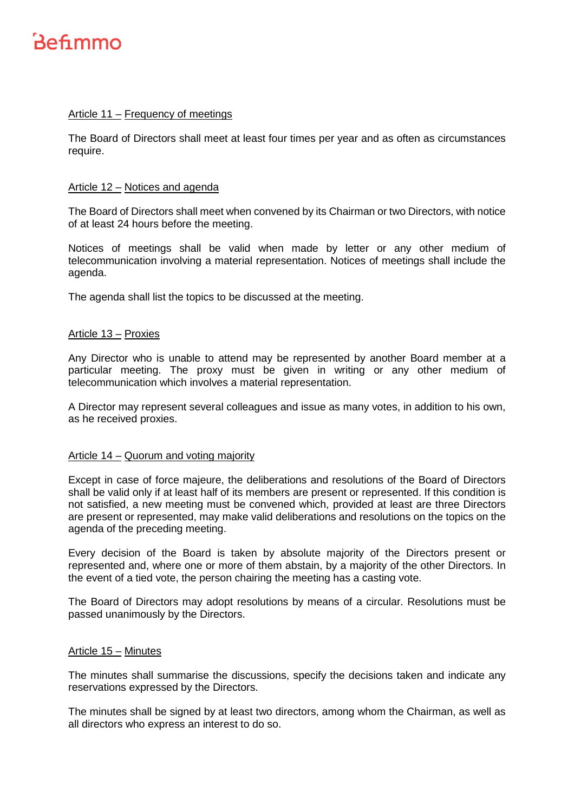

#### Article 11 – Frequency of meetings

The Board of Directors shall meet at least four times per year and as often as circumstances require.

#### Article 12 – Notices and agenda

The Board of Directors shall meet when convened by its Chairman or two Directors, with notice of at least 24 hours before the meeting.

Notices of meetings shall be valid when made by letter or any other medium of telecommunication involving a material representation. Notices of meetings shall include the agenda.

The agenda shall list the topics to be discussed at the meeting.

#### Article 13 – Proxies

Any Director who is unable to attend may be represented by another Board member at a particular meeting. The proxy must be given in writing or any other medium of telecommunication which involves a material representation.

A Director may represent several colleagues and issue as many votes, in addition to his own, as he received proxies.

#### Article 14 – Quorum and voting majority

Except in case of force majeure, the deliberations and resolutions of the Board of Directors shall be valid only if at least half of its members are present or represented. If this condition is not satisfied, a new meeting must be convened which, provided at least are three Directors are present or represented, may make valid deliberations and resolutions on the topics on the agenda of the preceding meeting.

Every decision of the Board is taken by absolute majority of the Directors present or represented and, where one or more of them abstain, by a majority of the other Directors. In the event of a tied vote, the person chairing the meeting has a casting vote.

The Board of Directors may adopt resolutions by means of a circular. Resolutions must be passed unanimously by the Directors.

#### Article 15 – Minutes

The minutes shall summarise the discussions, specify the decisions taken and indicate any reservations expressed by the Directors.

The minutes shall be signed by at least two directors, among whom the Chairman, as well as all directors who express an interest to do so.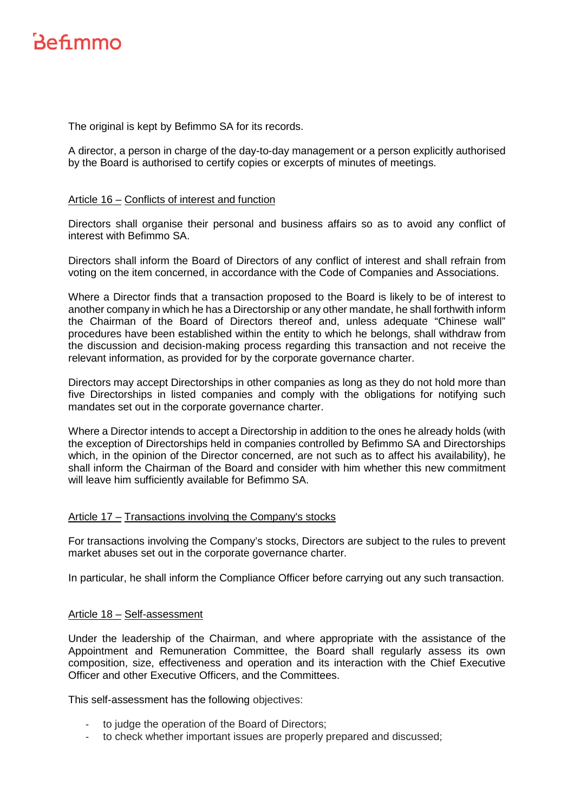The original is kept by Befimmo SA for its records.

A director, a person in charge of the day-to-day management or a person explicitly authorised by the Board is authorised to certify copies or excerpts of minutes of meetings.

#### Article 16 – Conflicts of interest and function

Directors shall organise their personal and business affairs so as to avoid any conflict of interest with Befimmo SA.

Directors shall inform the Board of Directors of any conflict of interest and shall refrain from voting on the item concerned, in accordance with the Code of Companies and Associations.

Where a Director finds that a transaction proposed to the Board is likely to be of interest to another company in which he has a Directorship or any other mandate, he shall forthwith inform the Chairman of the Board of Directors thereof and, unless adequate "Chinese wall" procedures have been established within the entity to which he belongs, shall withdraw from the discussion and decision-making process regarding this transaction and not receive the relevant information, as provided for by the corporate governance charter.

Directors may accept Directorships in other companies as long as they do not hold more than five Directorships in listed companies and comply with the obligations for notifying such mandates set out in the corporate governance charter.

Where a Director intends to accept a Directorship in addition to the ones he already holds (with the exception of Directorships held in companies controlled by Befimmo SA and Directorships which, in the opinion of the Director concerned, are not such as to affect his availability), he shall inform the Chairman of the Board and consider with him whether this new commitment will leave him sufficiently available for Befimmo SA.

#### Article 17 – Transactions involving the Company's stocks

For transactions involving the Company's stocks, Directors are subject to the rules to prevent market abuses set out in the corporate governance charter.

In particular, he shall inform the Compliance Officer before carrying out any such transaction.

#### Article 18 – Self-assessment

Under the leadership of the Chairman, and where appropriate with the assistance of the Appointment and Remuneration Committee, the Board shall regularly assess its own composition, size, effectiveness and operation and its interaction with the Chief Executive Officer and other Executive Officers, and the Committees.

This self-assessment has the following objectives:

- to judge the operation of the Board of Directors;
- to check whether important issues are properly prepared and discussed;